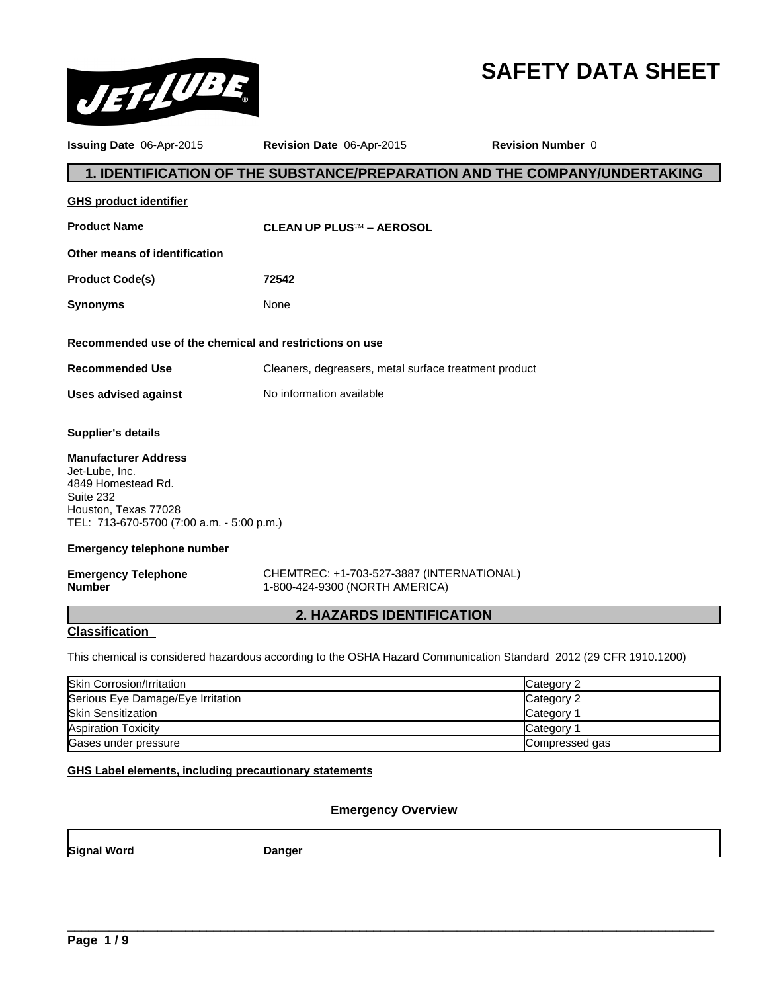

# **SAFETY DATA SHEET**

| Issuing Date 06-Apr-2015                                                                                                                              | Revision Date 06-Apr-2015                                                   | <b>Revision Number 0</b>                                                                                          |
|-------------------------------------------------------------------------------------------------------------------------------------------------------|-----------------------------------------------------------------------------|-------------------------------------------------------------------------------------------------------------------|
|                                                                                                                                                       |                                                                             | 1. IDENTIFICATION OF THE SUBSTANCE/PREPARATION AND THE COMPANY/UNDERTAKING                                        |
| <b>GHS product identifier</b>                                                                                                                         |                                                                             |                                                                                                                   |
| <b>Product Name</b>                                                                                                                                   | <b>CLEAN UP PLUS™ - AEROSOL</b>                                             |                                                                                                                   |
| Other means of identification                                                                                                                         |                                                                             |                                                                                                                   |
| <b>Product Code(s)</b>                                                                                                                                | 72542                                                                       |                                                                                                                   |
| <b>Synonyms</b>                                                                                                                                       | None                                                                        |                                                                                                                   |
| Recommended use of the chemical and restrictions on use                                                                                               |                                                                             |                                                                                                                   |
| <b>Recommended Use</b>                                                                                                                                | Cleaners, degreasers, metal surface treatment product                       |                                                                                                                   |
| <b>Uses advised against</b>                                                                                                                           | No information available                                                    |                                                                                                                   |
| <b>Supplier's details</b>                                                                                                                             |                                                                             |                                                                                                                   |
| <b>Manufacturer Address</b><br>Jet-Lube, Inc.<br>4849 Homestead Rd.<br>Suite 232<br>Houston, Texas 77028<br>TEL: 713-670-5700 (7:00 a.m. - 5:00 p.m.) |                                                                             |                                                                                                                   |
| <b>Emergency telephone number</b>                                                                                                                     |                                                                             |                                                                                                                   |
| <b>Emergency Telephone</b><br><b>Number</b>                                                                                                           | CHEMTREC: +1-703-527-3887 (INTERNATIONAL)<br>1-800-424-9300 (NORTH AMERICA) |                                                                                                                   |
|                                                                                                                                                       | <b>2. HAZARDS IDENTIFICATION</b>                                            |                                                                                                                   |
| <b>Classification</b>                                                                                                                                 |                                                                             |                                                                                                                   |
|                                                                                                                                                       |                                                                             | This chemical is considered hazardous according to the OSHA Hazard Communication Standard 2012 (29 CFR 1910.1200) |
| $C_{kin}$ Corrogian/Irritation                                                                                                                        |                                                                             | $C^{100000}$                                                                                                      |

| Serious Eye Damage/Eye Irritation<br>Category 2<br><b>Skin Sensitization</b><br>Category <sup>2</sup><br><b>Aspiration Toxicity</b><br>Category <sup>2</sup><br>Gases under pressure<br>Compressed gas | <b>Skin Corrosion/Irritation</b> | Category 2 |
|--------------------------------------------------------------------------------------------------------------------------------------------------------------------------------------------------------|----------------------------------|------------|
|                                                                                                                                                                                                        |                                  |            |
|                                                                                                                                                                                                        |                                  |            |
|                                                                                                                                                                                                        |                                  |            |
|                                                                                                                                                                                                        |                                  |            |

## **GHS Label elements, including precautionary statements**

## **Emergency Overview**

 $\overline{\phantom{a}}$  ,  $\overline{\phantom{a}}$  ,  $\overline{\phantom{a}}$  ,  $\overline{\phantom{a}}$  ,  $\overline{\phantom{a}}$  ,  $\overline{\phantom{a}}$  ,  $\overline{\phantom{a}}$  ,  $\overline{\phantom{a}}$  ,  $\overline{\phantom{a}}$  ,  $\overline{\phantom{a}}$  ,  $\overline{\phantom{a}}$  ,  $\overline{\phantom{a}}$  ,  $\overline{\phantom{a}}$  ,  $\overline{\phantom{a}}$  ,  $\overline{\phantom{a}}$  ,  $\overline{\phantom{a}}$ 

**Signal Word Danger**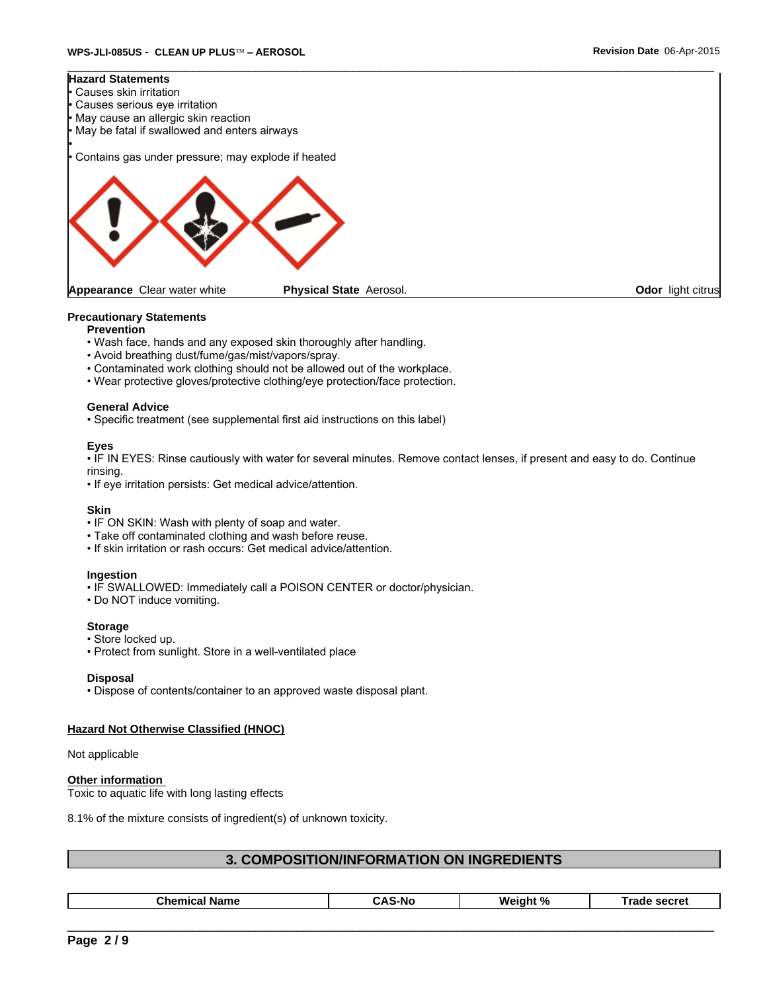

## **Precautionary Statements**

- **Prevention**
- Wash face, hands and any exposed skin thoroughly after handling.
- Avoid breathing dust/fume/gas/mist/vapors/spray.
- Contaminated work clothing should not be allowed out of the workplace.
- Wear protective gloves/protective clothing/eye protection/face protection.

## **General Advice**

• Specific treatment (see supplemental first aid instructions on this label)

## **Eyes**

• IF IN EYES: Rinse cautiously with water for several minutes. Remove contact lenses, if present and easy to do. Continue rinsing.

• If eye irritation persists: Get medical advice/attention.

### **Skin**

- IF ON SKIN: Wash with plenty of soap and water.
- Take off contaminated clothing and wash before reuse.
- If skin irritation or rash occurs: Get medical advice/attention.

### **Ingestion**

- IF SWALLOWED: Immediately call a POISON CENTER or doctor/physician.
- Do NOT induce vomiting.

### **Storage**

- Store locked up.
- Protect from sunlight. Store in a well-ventilated place

### **Disposal**

• Dispose of contents/container to an approved waste disposal plant.

## **Hazard Not Otherwise Classified (HNOC)**

Not applicable

## **Other information**

Toxic to aquatic life with long lasting effects

8.1% of the mixture consists of ingredient(s) of unknown toxicity.

## **3. COMPOSITION/INFORMATION ON INGREDIENTS**

| Chemic<br>-No<br>Name<br>. .<br><br>-- |
|----------------------------------------|
|----------------------------------------|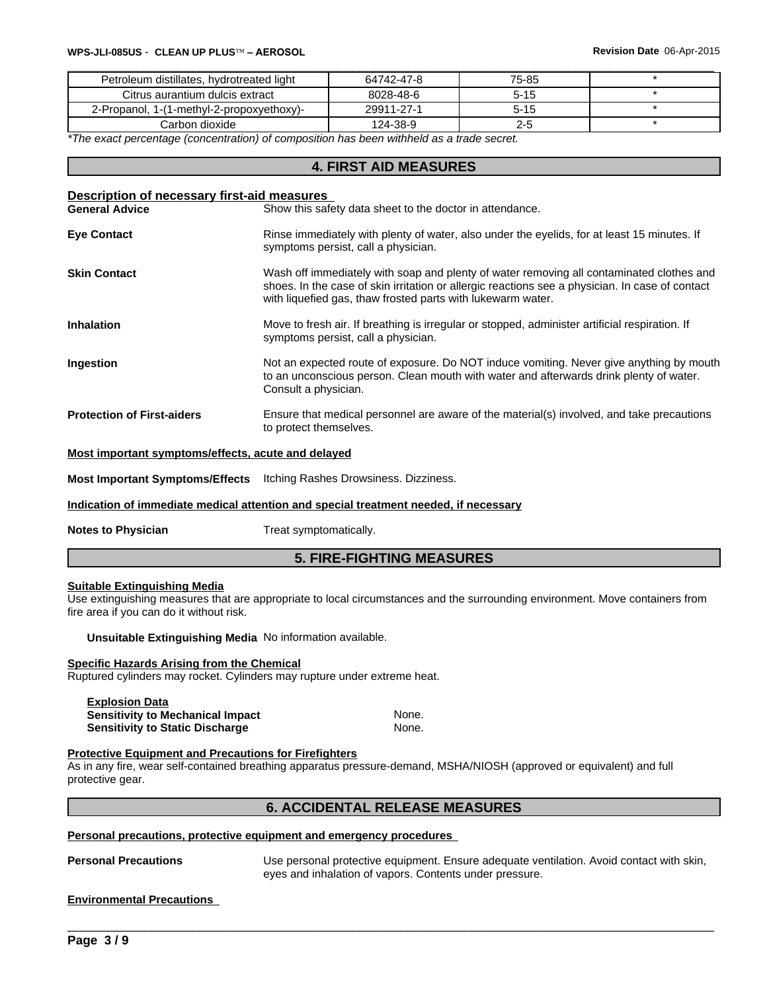| Petroleum distillates, hydrotreated light | 64742-47-8 | 75-85    |  |
|-------------------------------------------|------------|----------|--|
| Citrus aurantium dulcis extract           | 8028-48-6  | $5 - 15$ |  |
| 2-Propanol, 1-(1-methyl-2-propoxyethoxy)- | 29911-27-1 | $5 - 15$ |  |
| Carbon dioxide l                          | 124-38-9   | 2-5      |  |

*\*The exact percentage (concentration) of composition has been withheld as a trade secret.*

## **4. FIRST AID MEASURES**

| Show this safety data sheet to the doctor in attendance.<br><b>General Advice</b><br>Rinse immediately with plenty of water, also under the eyelids, for at least 15 minutes. If<br><b>Eye Contact</b><br>symptoms persist, call a physician.<br><b>Skin Contact</b><br>Wash off immediately with soap and plenty of water removing all contaminated clothes and<br>shoes. In the case of skin irritation or allergic reactions see a physician. In case of contact<br>with liquefied gas, thaw frosted parts with lukewarm water.<br>Move to fresh air. If breathing is irregular or stopped, administer artificial respiration. If<br><b>Inhalation</b><br>symptoms persist, call a physician.<br>Not an expected route of exposure. Do NOT induce vomiting. Never give anything by mouth<br>Ingestion<br>to an unconscious person. Clean mouth with water and afterwards drink plenty of water.<br>Consult a physician.<br>Ensure that medical personnel are aware of the material(s) involved, and take precautions<br><b>Protection of First-aiders</b><br>to protect themselves. | Description of necessary first-aid measures |  |  |  |  |
|----------------------------------------------------------------------------------------------------------------------------------------------------------------------------------------------------------------------------------------------------------------------------------------------------------------------------------------------------------------------------------------------------------------------------------------------------------------------------------------------------------------------------------------------------------------------------------------------------------------------------------------------------------------------------------------------------------------------------------------------------------------------------------------------------------------------------------------------------------------------------------------------------------------------------------------------------------------------------------------------------------------------------------------------------------------------------------------|---------------------------------------------|--|--|--|--|
|                                                                                                                                                                                                                                                                                                                                                                                                                                                                                                                                                                                                                                                                                                                                                                                                                                                                                                                                                                                                                                                                                        |                                             |  |  |  |  |
|                                                                                                                                                                                                                                                                                                                                                                                                                                                                                                                                                                                                                                                                                                                                                                                                                                                                                                                                                                                                                                                                                        |                                             |  |  |  |  |
|                                                                                                                                                                                                                                                                                                                                                                                                                                                                                                                                                                                                                                                                                                                                                                                                                                                                                                                                                                                                                                                                                        |                                             |  |  |  |  |
|                                                                                                                                                                                                                                                                                                                                                                                                                                                                                                                                                                                                                                                                                                                                                                                                                                                                                                                                                                                                                                                                                        |                                             |  |  |  |  |
|                                                                                                                                                                                                                                                                                                                                                                                                                                                                                                                                                                                                                                                                                                                                                                                                                                                                                                                                                                                                                                                                                        |                                             |  |  |  |  |
|                                                                                                                                                                                                                                                                                                                                                                                                                                                                                                                                                                                                                                                                                                                                                                                                                                                                                                                                                                                                                                                                                        |                                             |  |  |  |  |

## **Most important symptoms/effects, acute and delayed**

**Most Important Symptoms/Effects** Itching Rashes Drowsiness. Dizziness.

**Indication of immediate medical attention and special treatment needed, if necessary**

**Notes to Physician** Treat symptomatically.

## **5. FIRE-FIGHTING MEASURES**

## **Suitable Extinguishing Media**

Use extinguishing measures that are appropriate to local circumstances and the surrounding environment. Move containers from fire area if you can do it without risk.

**Unsuitable Extinguishing Media** No information available.

### **Specific Hazards Arising from the Chemical**

Ruptured cylinders may rocket. Cylinders may rupture under extreme heat.

| <b>Explosion Data</b>                   |       |
|-----------------------------------------|-------|
| <b>Sensitivity to Mechanical Impact</b> | None. |
| <b>Sensitivity to Static Discharge</b>  | None. |

## **Protective Equipment and Precautions for Firefighters**

As in any fire, wear self-contained breathing apparatus pressure-demand, MSHA/NIOSH (approved or equivalent) and full protective gear.

## **6. ACCIDENTAL RELEASE MEASURES**

### **Personal precautions, protective equipment and emergency procedures**

**Personal Precautions** Use personal protective equipment. Ensure adequate ventilation. Avoid contact with skin,<br>eyes and inhalation of vapors. Contents under pressure.<br>**Environmental Precautions** eyes and inhalation of vapors. Contents under pressure.

### **Environmental Precautions**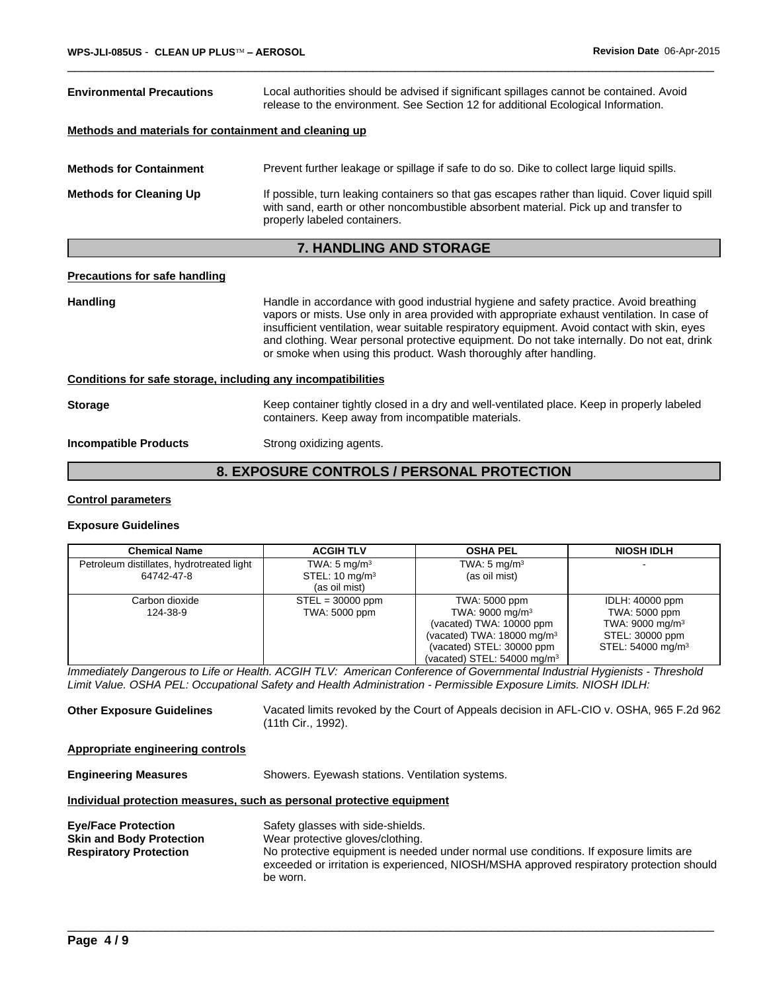| <b>Environmental Precautions</b><br>Local authorities should be advised if significant spillages cannot be contained. Avoid<br>release to the environment. See Section 12 for additional Ecological Information. |                                                                                                                                                                                                                         |  |
|------------------------------------------------------------------------------------------------------------------------------------------------------------------------------------------------------------------|-------------------------------------------------------------------------------------------------------------------------------------------------------------------------------------------------------------------------|--|
| Methods and materials for containment and cleaning up                                                                                                                                                            |                                                                                                                                                                                                                         |  |
| <b>Methods for Containment</b>                                                                                                                                                                                   | Prevent further leakage or spillage if safe to do so. Dike to collect large liquid spills.                                                                                                                              |  |
| <b>Methods for Cleaning Up</b>                                                                                                                                                                                   | If possible, turn leaking containers so that gas escapes rather than liquid. Cover liquid spill<br>with sand, earth or other noncombustible absorbent material. Pick up and transfer to<br>properly labeled containers. |  |
|                                                                                                                                                                                                                  | <b>7. HANDLING AND STORAGE</b>                                                                                                                                                                                          |  |

## **Precautions for safe handling**

Handling **Handling** Handle in accordance with good industrial hygiene and safety practice. Avoid breathing vapors or mists. Use only in area provided with appropriate exhaust ventilation. In case of insufficient ventilation, wear suitable respiratory equipment. Avoid contact with skin, eyes and clothing. Wear personal protective equipment. Do not take internally. Do not eat, drink or smoke when using this product. Wash thoroughly after handling. **Conditions for safe storage, including any incompatibilities**

## **Storage** Keep container tightly closed in a dry and well-ventilated place. Keep in properly labeled containers. Keep away from incompatible materials.

## **Incompatible Products** Strong oxidizing agents.

## **8. EXPOSURE CONTROLS / PERSONAL PROTECTION**

## **Control parameters**

## **Exposure Guidelines**

| <b>Chemical Name</b>                                    | <b>ACGIH TLV</b>                                                      | <b>OSHA PEL</b>                                                                                                                                                                         | <b>NIOSH IDLH</b>                                                                                                   |
|---------------------------------------------------------|-----------------------------------------------------------------------|-----------------------------------------------------------------------------------------------------------------------------------------------------------------------------------------|---------------------------------------------------------------------------------------------------------------------|
| Petroleum distillates, hydrotreated light<br>64742-47-8 | TWA: $5 \text{ mg/m}^3$<br>STEL: $10 \text{ mg/m}^3$<br>(as oil mist) | TWA: $5 \text{ mg/m}^3$<br>(as oil mist)                                                                                                                                                |                                                                                                                     |
| Carbon dioxide<br>124-38-9                              | $STEL = 30000$ ppm<br>TWA: 5000 ppm                                   | TWA: 5000 ppm<br>TWA: $9000 \text{ mg/m}^3$<br>(vacated) TWA: 10000 ppm<br>(vacated) TWA: $18000 \text{ mg/m}^3$<br>(vacated) STEL: 30000 ppm<br>(vacated) STEL: $54000 \text{ mg/m}^3$ | IDLH: 40000 ppm<br>TWA: 5000 ppm<br>TWA: 9000 mg/m <sup>3</sup><br>STEL: 30000 ppm<br>STEL: 54000 mg/m <sup>3</sup> |

*Immediately Dangerous to Life or Health. ACGIH TLV: American Conference of Governmental Industrial Hygienists - Threshold Limit Value. OSHA PEL: Occupational Safety and Health Administration - Permissible Exposure Limits. NIOSH IDLH:*

**Other Exposure Guidelines** Vacated limits revoked by the Court of Appeals decision in AFL-CIO v. OSHA, 965 F.2d 962 (11th Cir., 1992).

## **Appropriate engineering controls**

| <b>Engineering Measures</b>                                                                    | Showers. Eyewash stations. Ventilation systems.                                                                                                                                                                                                                        |  |  |  |
|------------------------------------------------------------------------------------------------|------------------------------------------------------------------------------------------------------------------------------------------------------------------------------------------------------------------------------------------------------------------------|--|--|--|
| Individual protection measures, such as personal protective equipment                          |                                                                                                                                                                                                                                                                        |  |  |  |
| <b>Eye/Face Protection</b><br><b>Skin and Body Protection</b><br><b>Respiratory Protection</b> | Safety glasses with side-shields.<br>Wear protective gloves/clothing.<br>No protective equipment is needed under normal use conditions. If exposure limits are<br>exceeded or irritation is experienced, NIOSH/MSHA approved respiratory protection should<br>be worn. |  |  |  |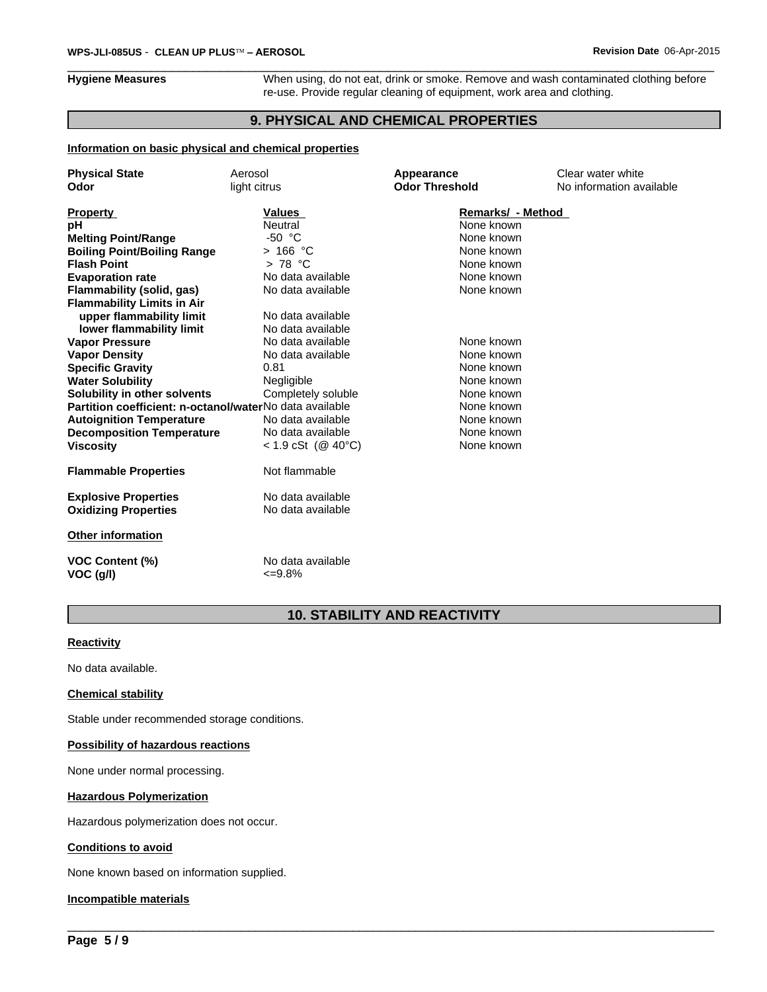**Hygiene Measures** When using, do not eat, drink or smoke. Remove and wash contaminated clothing before re-use. Provide regular cleaning of equipment, work area and clothing.

## **9. PHYSICAL AND CHEMICAL PROPERTIES**

## **Information on basic physical and chemical properties**

| <b>Physical State</b>                                   | Aerosol                           | Appearance            | Clear water white        |
|---------------------------------------------------------|-----------------------------------|-----------------------|--------------------------|
| Odor                                                    | light citrus                      | <b>Odor Threshold</b> | No information available |
|                                                         |                                   |                       |                          |
| <b>Property</b>                                         | Values                            | Remarks/ - Method     |                          |
| рH                                                      | Neutral                           | None known            |                          |
| <b>Melting Point/Range</b>                              | $-50 °C$                          | None known            |                          |
| <b>Boiling Point/Boiling Range</b>                      | $>166$ °C                         | None known            |                          |
| <b>Flash Point</b>                                      | > 78 °C                           | None known            |                          |
| <b>Evaporation rate</b>                                 | No data available                 | None known            |                          |
| Flammability (solid, gas)                               | No data available                 | None known            |                          |
| <b>Flammability Limits in Air</b>                       |                                   |                       |                          |
| upper flammability limit                                | No data available                 |                       |                          |
| lower flammability limit                                | No data available                 |                       |                          |
| <b>Vapor Pressure</b>                                   | No data available                 | None known            |                          |
| <b>Vapor Density</b>                                    | No data available                 | None known            |                          |
| <b>Specific Gravity</b>                                 | 0.81                              | None known            |                          |
| <b>Water Solubility</b>                                 | Negligible                        | None known            |                          |
| Solubility in other solvents                            | Completely soluble                | None known            |                          |
| Partition coefficient: n-octanol/waterNo data available |                                   | None known            |                          |
| <b>Autoignition Temperature</b>                         | No data available                 | None known            |                          |
| <b>Decomposition Temperature</b>                        | No data available                 | None known            |                          |
| <b>Viscosity</b>                                        | $< 1.9$ cSt (@ 40°C)              | None known            |                          |
| <b>Flammable Properties</b>                             | Not flammable                     |                       |                          |
| <b>Explosive Properties</b>                             | No data available                 |                       |                          |
| <b>Oxidizing Properties</b>                             | No data available                 |                       |                          |
| <b>Other information</b>                                |                                   |                       |                          |
| <b>VOC Content (%)</b><br>VOC (g/l)                     | No data available<br>$\leq 9.8\%$ |                       |                          |
|                                                         |                                   |                       |                          |

## **10. STABILITY AND REACTIVITY**

 $\overline{\phantom{a}}$  ,  $\overline{\phantom{a}}$  ,  $\overline{\phantom{a}}$  ,  $\overline{\phantom{a}}$  ,  $\overline{\phantom{a}}$  ,  $\overline{\phantom{a}}$  ,  $\overline{\phantom{a}}$  ,  $\overline{\phantom{a}}$  ,  $\overline{\phantom{a}}$  ,  $\overline{\phantom{a}}$  ,  $\overline{\phantom{a}}$  ,  $\overline{\phantom{a}}$  ,  $\overline{\phantom{a}}$  ,  $\overline{\phantom{a}}$  ,  $\overline{\phantom{a}}$  ,  $\overline{\phantom{a}}$ 

## **Reactivity**

No data available.

## **Chemical stability**

Stable under recommended storage conditions.

## **Possibility of hazardous reactions**

None under normal processing.

### **Hazardous Polymerization**

Hazardous polymerization does not occur.

## **Conditions to avoid**

None known based on information supplied.

## **Incompatible materials**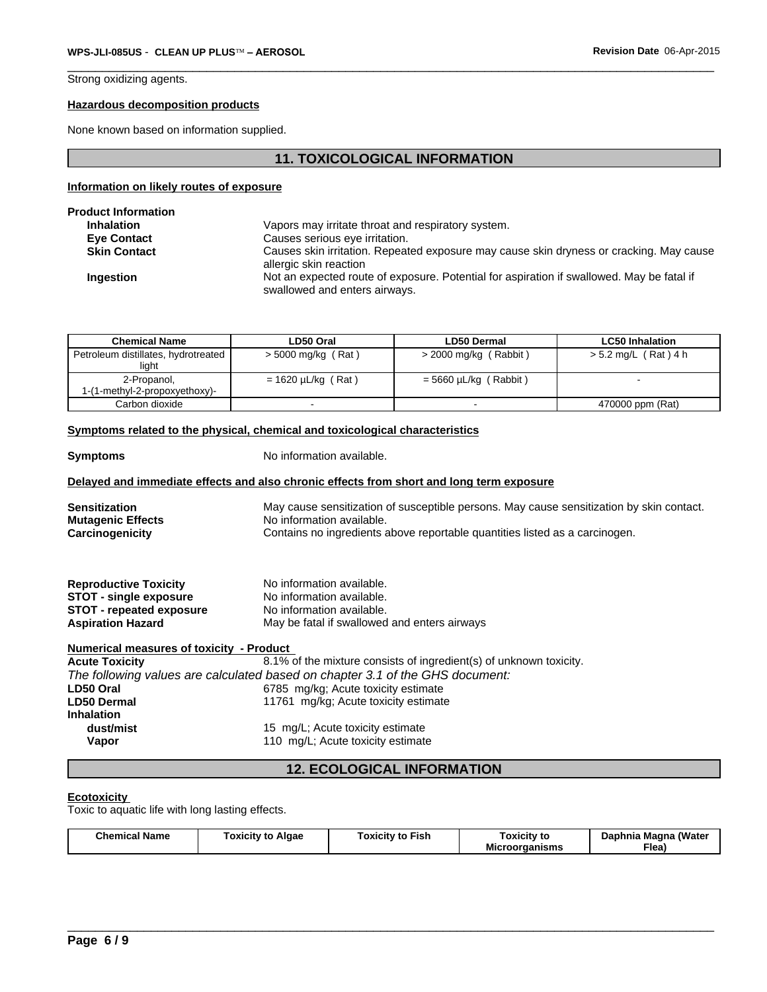Strong oxidizing agents.

## **Hazardous decomposition products**

None known based on information supplied.

## **11. TOXICOLOGICAL INFORMATION**

## **Information on likely routes of exposure**

| <b>Product Information</b> |                                                                                                                            |
|----------------------------|----------------------------------------------------------------------------------------------------------------------------|
| <b>Inhalation</b>          | Vapors may irritate throat and respiratory system.                                                                         |
| <b>Eve Contact</b>         | Causes serious eye irritation.                                                                                             |
| <b>Skin Contact</b>        | Causes skin irritation. Repeated exposure may cause skin dryness or cracking. May cause<br>allergic skin reaction          |
| <b>Ingestion</b>           | Not an expected route of exposure. Potential for aspiration if swallowed. May be fatal if<br>swallowed and enters airways. |

| <b>Chemical Name</b>                         | LD50 Oral               | LD50 Dermal             | <b>LC50 Inhalation</b> |
|----------------------------------------------|-------------------------|-------------------------|------------------------|
| Petroleum distillates, hydrotreated<br>light | > 5000 mg/kg (Rat)      | > 2000 mg/kg (Rabbit)   | > 5.2 mg/L (Rat) 4 h   |
| 2-Propanol,                                  | $= 1620 \mu L/kg$ (Rat) | $=$ 5660 µL/kg (Rabbit) |                        |
| 1-(1-methyl-2-propoxyethoxy)-                |                         |                         |                        |
| Carbon dioxide                               |                         |                         | 470000 ppm (Rat)       |

## **Symptoms related to the physical, chemical and toxicological characteristics**

| <b>Symptoms</b>                                  | No information available.                                                                                             |  |  |  |
|--------------------------------------------------|-----------------------------------------------------------------------------------------------------------------------|--|--|--|
|                                                  | Delayed and immediate effects and also chronic effects from short and long term exposure                              |  |  |  |
| <b>Sensitization</b><br><b>Mutagenic Effects</b> | May cause sensitization of susceptible persons. May cause sensitization by skin contact.<br>No information available. |  |  |  |
| Carcinogenicity                                  | Contains no ingredients above reportable quantities listed as a carcinogen.                                           |  |  |  |
| <b>Reproductive Toxicity</b>                     | No information available.                                                                                             |  |  |  |
| <b>STOT - single exposure</b>                    | No information available.                                                                                             |  |  |  |
| <b>STOT - repeated exposure</b>                  | No information available.                                                                                             |  |  |  |
| <b>Aspiration Hazard</b>                         | May be fatal if swallowed and enters airways                                                                          |  |  |  |
| Numerical measures of toxicity - Product         |                                                                                                                       |  |  |  |
| <b>Acute Toxicity</b>                            | 8.1% of the mixture consists of ingredient(s) of unknown toxicity.                                                    |  |  |  |
|                                                  | The following values are calculated based on chapter 3.1 of the GHS document:                                         |  |  |  |
| LD50 Oral                                        | 6785 mg/kg; Acute toxicity estimate                                                                                   |  |  |  |
| <b>LD50 Dermal</b>                               | 11761 mg/kg; Acute toxicity estimate                                                                                  |  |  |  |
| <b>Inhalation</b>                                |                                                                                                                       |  |  |  |
| dust/mist                                        | 15 mg/L; Acute toxicity estimate                                                                                      |  |  |  |

**Vapor** 110 mg/L; Acute toxicity estimate

## **12. ECOLOGICAL INFORMATION**

### **Ecotoxicity**

Toxic to aquatic life with long lasting effects.

| <b>Chemical Name</b><br>oxicitv to<br>Algae<br>Toxicitv to Fish | Toxicity to<br>---<br>Microorganisms | Daphnia Magna (Water<br>$F$ lea) |
|-----------------------------------------------------------------|--------------------------------------|----------------------------------|
|-----------------------------------------------------------------|--------------------------------------|----------------------------------|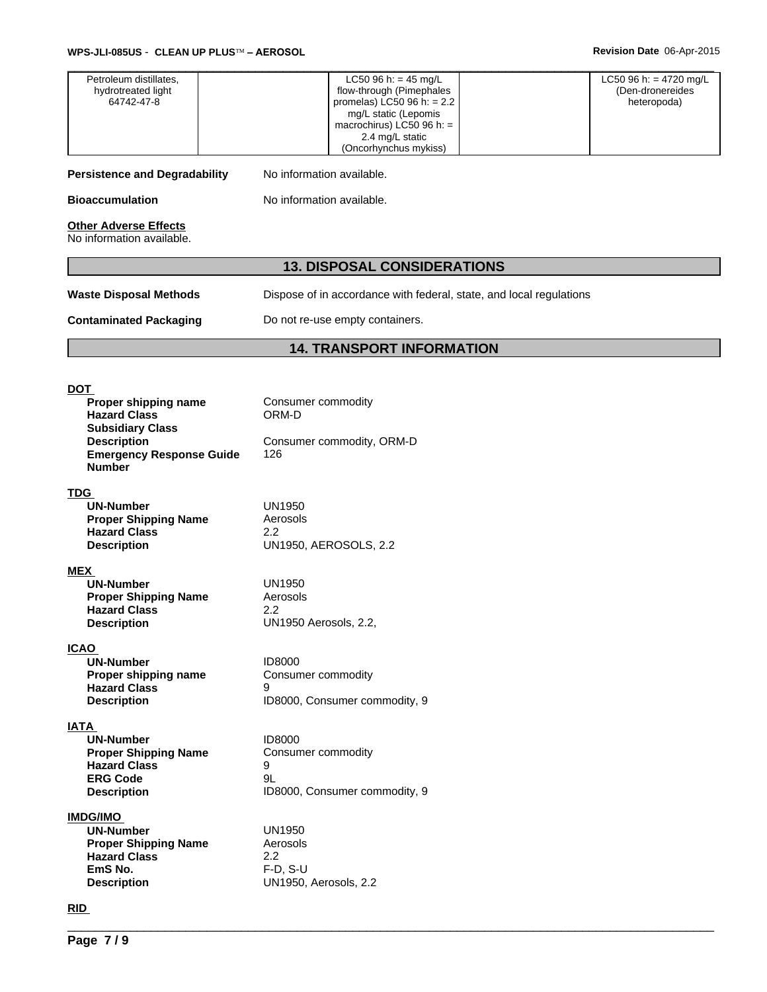| Petroleum distillates,<br>hydrotreated light<br>64742-47-8                                                                                                     | LC50 96 h: = $45$ mg/L<br>flow-through (Pimephales<br>promelas) $\overline{LC50}$ 96 h: = 2.2<br>mg/L static (Lepomis<br>macrochirus) LC50 96 h: =<br>2.4 mg/L static<br>(Oncorhynchus mykiss) | LC50 96 h: = $4720$ mg/L<br>(Den-dronereides<br>heteropoda) |  |  |
|----------------------------------------------------------------------------------------------------------------------------------------------------------------|------------------------------------------------------------------------------------------------------------------------------------------------------------------------------------------------|-------------------------------------------------------------|--|--|
| <b>Persistence and Degradability</b>                                                                                                                           | No information available.                                                                                                                                                                      |                                                             |  |  |
| <b>Bioaccumulation</b>                                                                                                                                         | No information available.                                                                                                                                                                      |                                                             |  |  |
| <b>Other Adverse Effects</b><br>No information available.                                                                                                      |                                                                                                                                                                                                |                                                             |  |  |
|                                                                                                                                                                | <b>13. DISPOSAL CONSIDERATIONS</b>                                                                                                                                                             |                                                             |  |  |
| <b>Waste Disposal Methods</b>                                                                                                                                  | Dispose of in accordance with federal, state, and local regulations                                                                                                                            |                                                             |  |  |
| <b>Contaminated Packaging</b>                                                                                                                                  | Do not re-use empty containers.                                                                                                                                                                |                                                             |  |  |
|                                                                                                                                                                | <b>14. TRANSPORT INFORMATION</b>                                                                                                                                                               |                                                             |  |  |
|                                                                                                                                                                |                                                                                                                                                                                                |                                                             |  |  |
| <b>DOT</b><br>Proper shipping name<br><b>Hazard Class</b><br><b>Subsidiary Class</b><br><b>Description</b><br><b>Emergency Response Guide</b><br><b>Number</b> | Consumer commodity<br>ORM-D<br>Consumer commodity, ORM-D<br>126                                                                                                                                |                                                             |  |  |
| <b>TDG</b><br><b>UN-Number</b><br><b>Proper Shipping Name</b><br><b>Hazard Class</b><br><b>Description</b>                                                     | <b>UN1950</b><br>Aerosols<br>2.2<br><b>UN1950, AEROSOLS, 2.2</b>                                                                                                                               |                                                             |  |  |
| <b>MEX</b><br>UN-Number<br><b>Proper Shipping Name</b><br><b>Hazard Class</b><br><b>Description</b>                                                            | <b>UN1950</b><br>Aerosols<br>$2.2\phantom{0}$<br>UN1950 Aerosols, 2.2,                                                                                                                         |                                                             |  |  |
| <b>ICAO</b><br><b>UN-Number</b><br>Proper shipping name<br><b>Hazard Class</b><br><b>Description</b>                                                           | ID8000<br>Consumer commodity<br>9<br>ID8000, Consumer commodity, 9                                                                                                                             |                                                             |  |  |
| <b>IATA</b><br><b>UN-Number</b><br><b>Proper Shipping Name</b><br><b>Hazard Class</b><br><b>ERG Code</b><br><b>Description</b>                                 | ID8000<br>Consumer commodity<br>9<br>9L<br>ID8000, Consumer commodity, 9                                                                                                                       |                                                             |  |  |
| <b>IMDG/IMO</b><br><b>UN-Number</b><br><b>Proper Shipping Name</b><br><b>Hazard Class</b><br>EmS No.<br><b>Description</b>                                     | <b>UN1950</b><br>Aerosols<br>2.2<br>$F-D, S-U$<br>UN1950, Aerosols, 2.2                                                                                                                        |                                                             |  |  |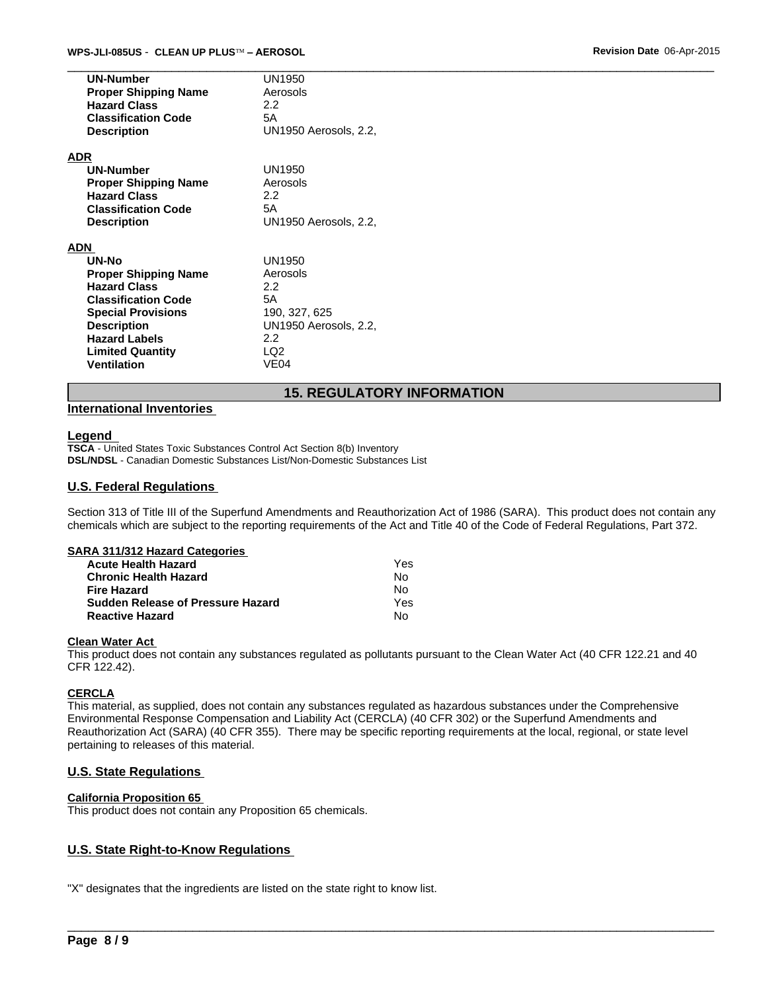| <b>UN-Number</b><br><b>Proper Shipping Name</b><br><b>Hazard Class</b><br><b>Classification Code</b><br><b>Description</b>                                                                                                   | UN1950<br>Aerosols<br>2.2<br>5A<br>UN1950 Aerosols, 2.2,                                        |
|------------------------------------------------------------------------------------------------------------------------------------------------------------------------------------------------------------------------------|-------------------------------------------------------------------------------------------------|
| ADR<br><b>UN-Number</b><br><b>Proper Shipping Name</b><br><b>Hazard Class</b><br><b>Classification Code</b><br><b>Description</b>                                                                                            | UN1950<br>Aerosols<br>2.2<br>5A<br>UN1950 Aerosols, 2.2,                                        |
| ADN<br>UN-No<br><b>Proper Shipping Name</b><br><b>Hazard Class</b><br><b>Classification Code</b><br><b>Special Provisions</b><br><b>Description</b><br><b>Hazard Labels</b><br><b>Limited Quantity</b><br><b>Ventilation</b> | UN1950<br>Aerosols<br>2.2<br>5Α<br>190, 327, 625<br>UN1950 Aerosols, 2.2,<br>2.2<br>LQ2<br>VE04 |

## **15. REGULATORY INFORMATION**

## **International Inventories**

## **Legend**

**TSCA** - United States Toxic Substances Control Act Section 8(b) Inventory **DSL/NDSL** - Canadian Domestic Substances List/Non-Domestic Substances List

## **U.S. Federal Regulations**

Section 313 of Title III of the Superfund Amendments and Reauthorization Act of 1986 (SARA). This product does not contain any chemicals which are subject to the reporting requirements of the Act and Title 40 of the Code of Federal Regulations, Part 372.

### **SARA 311/312 Hazard Categories**

| <b>Acute Health Hazard</b>               | Yes. |
|------------------------------------------|------|
| <b>Chronic Health Hazard</b>             | N٥   |
| <b>Fire Hazard</b>                       | N٥   |
| <b>Sudden Release of Pressure Hazard</b> | Yes  |
| <b>Reactive Hazard</b>                   | No   |

## **Clean Water Act**

This product does not contain any substances regulated as pollutants pursuant to the Clean Water Act (40 CFR 122.21 and 40 CFR 122.42).

## **CERCLA**

This material, as supplied, does not contain any substances regulated as hazardous substances under the Comprehensive Environmental Response Compensation and Liability Act (CERCLA) (40 CFR 302) or the Superfund Amendments and Reauthorization Act (SARA) (40 CFR 355). There may be specific reporting requirements at the local, regional, or state level pertaining to releases of this material.

## **U.S. State Regulations**

## **California Proposition 65**

This product does not contain any Proposition 65 chemicals.

\_\_\_\_\_\_\_\_\_\_\_\_\_\_\_\_\_\_\_\_\_\_\_\_\_\_\_\_\_\_\_\_\_\_\_\_\_\_\_\_\_\_\_\_\_\_\_\_\_\_\_\_\_\_\_\_\_\_\_\_\_\_\_\_\_\_\_\_\_\_\_\_\_\_\_\_\_\_\_\_\_\_\_\_\_\_\_\_\_\_\_\_\_ **U.S. State Right-to-Know Regulations**  "X" designates that the ingredients are listed on the state right to know list.